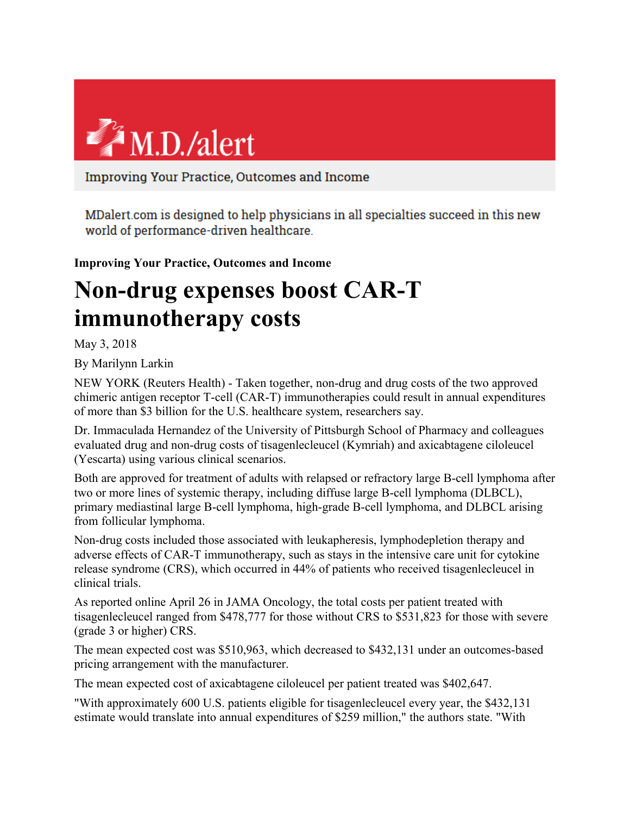

Improving Your Practice, Outcomes and Income

MDalert.com is designed to help physicians in all specialties succeed in this new world of performance-driven healthcare.

**Improving Your Practice, Outcomes and Income**

## **Non-drug expenses boost CAR-T immunotherapy costs**

May 3, 2018

By Marilynn Larkin

NEW YORK (Reuters Health) - Taken together, non-drug and drug costs of the two approved chimeric antigen receptor T-cell (CAR-T) immunotherapies could result in annual expenditures of more than \$3 billion for the U.S. healthcare system, researchers say.

Dr. Immaculada Hernandez of the University of Pittsburgh School of Pharmacy and colleagues evaluated drug and non-drug costs of tisagenlecleucel (Kymriah) and axicabtagene ciloleucel (Yescarta) using various clinical scenarios.

Both are approved for treatment of adults with relapsed or refractory large B-cell lymphoma after two or more lines of systemic therapy, including diffuse large B-cell lymphoma (DLBCL), primary mediastinal large B-cell lymphoma, high-grade B-cell lymphoma, and DLBCL arising from follicular lymphoma.

Non-drug costs included those associated with leukapheresis, lymphodepletion therapy and adverse effects of CAR-T immunotherapy, such as stays in the intensive care unit for cytokine release syndrome (CRS), which occurred in 44% of patients who received tisagenlecleucel in clinical trials.

As reported online April 26 in JAMA Oncology, the total costs per patient treated with tisagenlecleucel ranged from \$478,777 for those without CRS to \$531,823 for those with severe (grade 3 or higher) CRS.

The mean expected cost was \$510,963, which decreased to \$432,131 under an outcomes-based pricing arrangement with the manufacturer.

The mean expected cost of axicabtagene ciloleucel per patient treated was \$402,647.

"With approximately 600 U.S. patients eligible for tisagenlecleucel every year, the \$432,131 estimate would translate into annual expenditures of \$259 million," the authors state. "With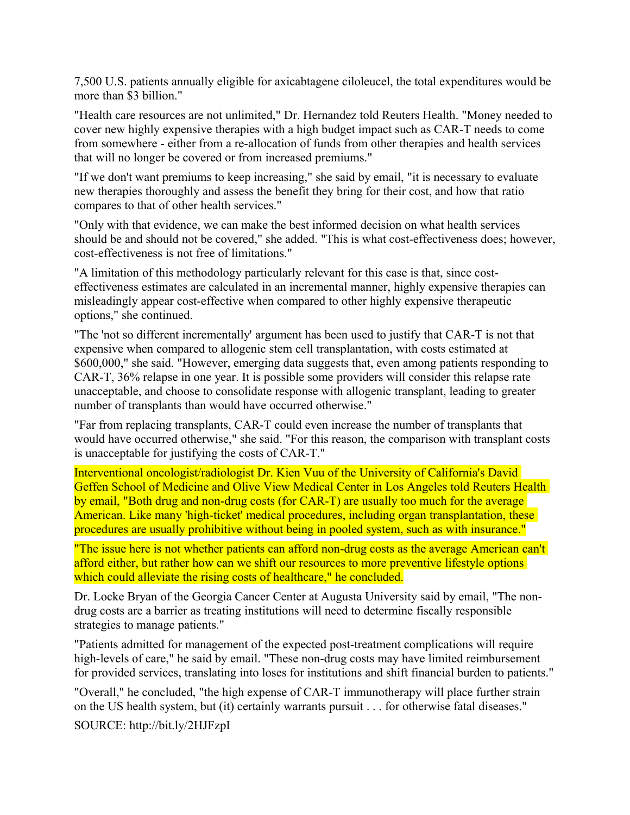7,500 U.S. patients annually eligible for axicabtagene ciloleucel, the total expenditures would be more than \$3 billion."

"Health care resources are not unlimited," Dr. Hernandez told Reuters Health. "Money needed to cover new highly expensive therapies with a high budget impact such as CAR-T needs to come from somewhere - either from a re-allocation of funds from other therapies and health services that will no longer be covered or from increased premiums."

"If we don't want premiums to keep increasing," she said by email, "it is necessary to evaluate new therapies thoroughly and assess the benefit they bring for their cost, and how that ratio compares to that of other health services."

"Only with that evidence, we can make the best informed decision on what health services should be and should not be covered," she added. "This is what cost-effectiveness does; however, cost-effectiveness is not free of limitations."

"A limitation of this methodology particularly relevant for this case is that, since costeffectiveness estimates are calculated in an incremental manner, highly expensive therapies can misleadingly appear cost-effective when compared to other highly expensive therapeutic options," she continued.

"The 'not so different incrementally' argument has been used to justify that CAR-T is not that expensive when compared to allogenic stem cell transplantation, with costs estimated at \$600,000," she said. "However, emerging data suggests that, even among patients responding to CAR-T, 36% relapse in one year. It is possible some providers will consider this relapse rate unacceptable, and choose to consolidate response with allogenic transplant, leading to greater number of transplants than would have occurred otherwise."

"Far from replacing transplants, CAR-T could even increase the number of transplants that would have occurred otherwise," she said. "For this reason, the comparison with transplant costs is unacceptable for justifying the costs of CAR-T."

Interventional oncologist/radiologist Dr. Kien Vuu of the University of California's David Geffen School of Medicine and Olive View Medical Center in Los Angeles told Reuters Health by email, "Both drug and non-drug costs (for CAR-T) are usually too much for the average American. Like many 'high-ticket' medical procedures, including organ transplantation, these procedures are usually prohibitive without being in pooled system, such as with insurance."

"The issue here is not whether patients can afford non-drug costs as the average American can't afford either, but rather how can we shift our resources to more preventive lifestyle options which could alleviate the rising costs of healthcare," he concluded.

Dr. Locke Bryan of the Georgia Cancer Center at Augusta University said by email, "The nondrug costs are a barrier as treating institutions will need to determine fiscally responsible strategies to manage patients."

"Patients admitted for management of the expected post-treatment complications will require high-levels of care," he said by email. "These non-drug costs may have limited reimbursement for provided services, translating into loses for institutions and shift financial burden to patients."

"Overall," he concluded, "the high expense of CAR-T immunotherapy will place further strain on the US health system, but (it) certainly warrants pursuit . . . for otherwise fatal diseases."

SOURCE: http://bit.ly/2HJFzpI